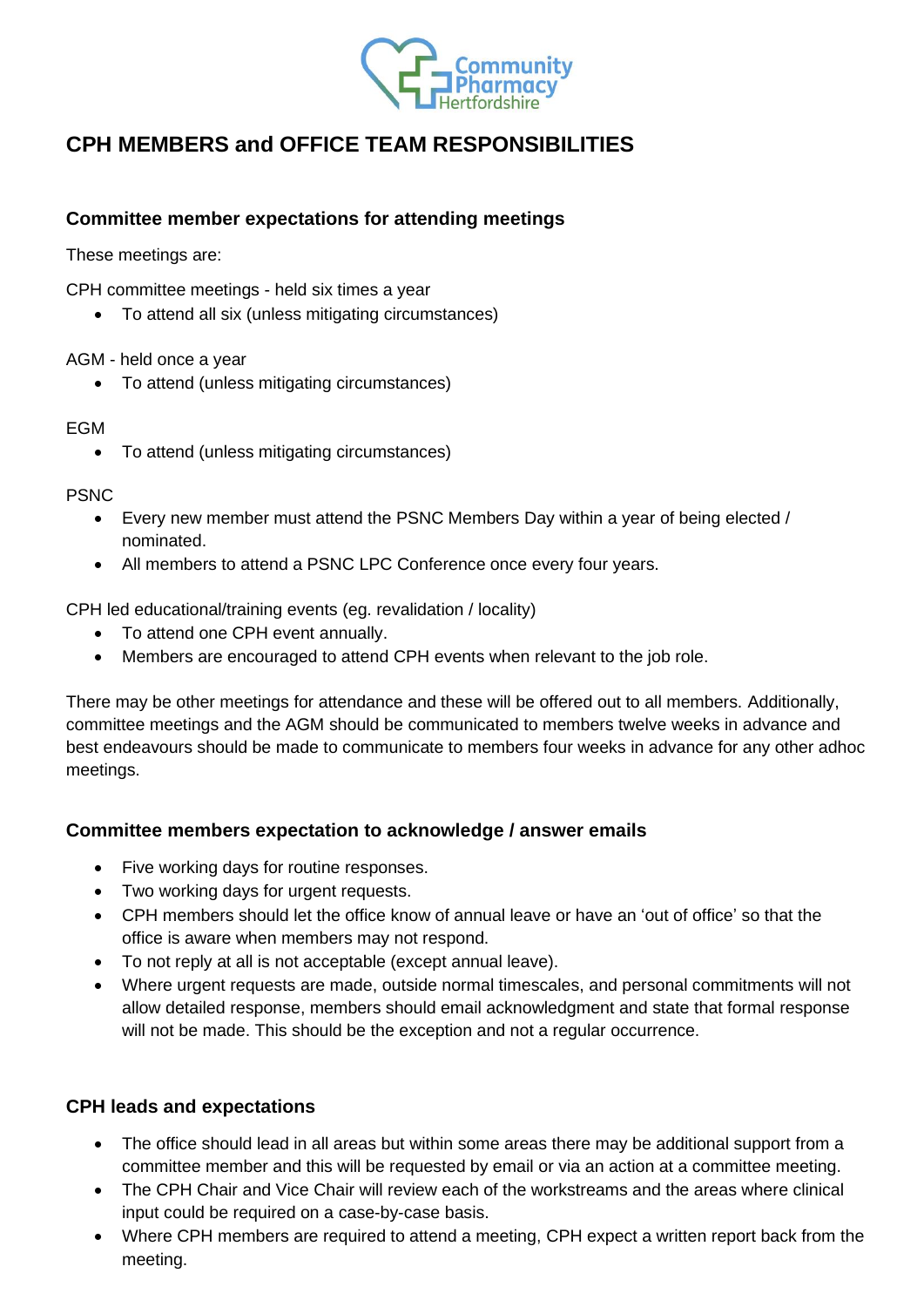

# **CPH MEMBERS and OFFICE TEAM RESPONSIBILITIES**

# **Committee member expectations for attending meetings**

These meetings are:

CPH committee meetings - held six times a year

• To attend all six (unless mitigating circumstances)

AGM - held once a year

• To attend (unless mitigating circumstances)

#### **FGM**

• To attend (unless mitigating circumstances)

#### PSNC

- Every new member must attend the PSNC Members Day within a year of being elected / nominated.
- All members to attend a PSNC LPC Conference once every four years.

CPH led educational/training events (eg. revalidation / locality)

- To attend one CPH event annually.
- Members are encouraged to attend CPH events when relevant to the job role.

There may be other meetings for attendance and these will be offered out to all members. Additionally, committee meetings and the AGM should be communicated to members twelve weeks in advance and best endeavours should be made to communicate to members four weeks in advance for any other adhoc meetings.

## **Committee members expectation to acknowledge / answer emails**

- Five working days for routine responses.
- Two working days for urgent requests.
- CPH members should let the office know of annual leave or have an 'out of office' so that the office is aware when members may not respond.
- To not reply at all is not acceptable (except annual leave).
- Where urgent requests are made, outside normal timescales, and personal commitments will not allow detailed response, members should email acknowledgment and state that formal response will not be made. This should be the exception and not a regular occurrence.

## **CPH leads and expectations**

- The office should lead in all areas but within some areas there may be additional support from a committee member and this will be requested by email or via an action at a committee meeting.
- The CPH Chair and Vice Chair will review each of the workstreams and the areas where clinical input could be required on a case-by-case basis.
- Where CPH members are required to attend a meeting, CPH expect a written report back from the meeting.